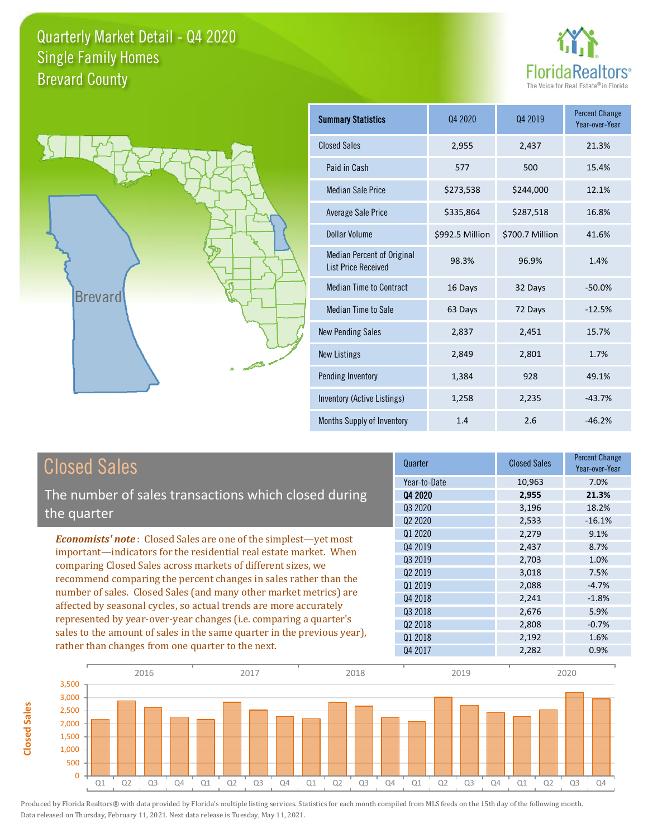



**Closed Sales**

**Closed Sales** 

| <b>Summary Statistics</b>                                       | 04 2020         | Q4 2019         | <b>Percent Change</b><br>Year-over-Year |
|-----------------------------------------------------------------|-----------------|-----------------|-----------------------------------------|
| <b>Closed Sales</b>                                             | 2,955           | 2,437           | 21.3%                                   |
| Paid in Cash                                                    | 577             | 500             | 15.4%                                   |
| <b>Median Sale Price</b>                                        | \$273,538       | \$244,000       | 12.1%                                   |
| Average Sale Price                                              | \$335,864       | \$287,518       | 16.8%                                   |
| Dollar Volume                                                   | \$992.5 Million | \$700.7 Million | 41.6%                                   |
| <b>Median Percent of Original</b><br><b>List Price Received</b> | 98.3%           | 96.9%           | 1.4%                                    |
| <b>Median Time to Contract</b>                                  | 16 Days         | 32 Days         | $-50.0%$                                |
| <b>Median Time to Sale</b>                                      | 63 Days         | 72 Days         | $-12.5%$                                |
| <b>New Pending Sales</b>                                        | 2,837           | 2,451           | 15.7%                                   |
| <b>New Listings</b>                                             | 2,849           | 2,801           | 1.7%                                    |
| <b>Pending Inventory</b>                                        | 1,384           | 928             | 49.1%                                   |
| Inventory (Active Listings)                                     | 1,258           | 2,235           | $-43.7%$                                |
| Months Supply of Inventory                                      | 1.4             | 2.6             | $-46.2%$                                |

| <b>Closed Sales</b>                                                                                                                                                                                   | Quarter             | <b>Closed Sales</b> | <b>Percent Change</b><br>Year-over-Year |
|-------------------------------------------------------------------------------------------------------------------------------------------------------------------------------------------------------|---------------------|---------------------|-----------------------------------------|
|                                                                                                                                                                                                       | Year-to-Date        | 10,963              | 7.0%                                    |
| The number of sales transactions which closed during                                                                                                                                                  | Q4 2020             | 2,955               | 21.3%                                   |
| the quarter                                                                                                                                                                                           | Q3 2020             | 3,196               | 18.2%                                   |
|                                                                                                                                                                                                       | Q <sub>2</sub> 2020 | 2,533               | $-16.1%$                                |
| <b>Economists' note:</b> Closed Sales are one of the simplest—yet most                                                                                                                                | Q1 2020             | 2,279               | 9.1%                                    |
| important—indicators for the residential real estate market. When<br>comparing Closed Sales across markets of different sizes, we<br>recommend comparing the percent changes in sales rather than the | Q4 2019             | 2,437               | 8.7%                                    |
|                                                                                                                                                                                                       | 03 2019             | 2,703               | 1.0%                                    |
|                                                                                                                                                                                                       | Q <sub>2</sub> 2019 | 3,018               | 7.5%                                    |
| number of sales. Closed Sales (and many other market metrics) are                                                                                                                                     | Q1 2019             | 2,088               | $-4.7%$                                 |
| affected by seasonal cycles, so actual trends are more accurately                                                                                                                                     | Q4 2018             | 2,241               | $-1.8%$                                 |
|                                                                                                                                                                                                       | 03 2018             | 2,676               | 5.9%                                    |
| represented by year-over-year changes (i.e. comparing a quarter's                                                                                                                                     | 02 2018             | 2,808               | $-0.7%$                                 |
| sales to the amount of sales in the same quarter in the previous year),                                                                                                                               | Q1 2018             | 2,192               | 1.6%                                    |
| rather than changes from one quarter to the next.                                                                                                                                                     | Q4 2017             | 2,282               | 0.9%                                    |

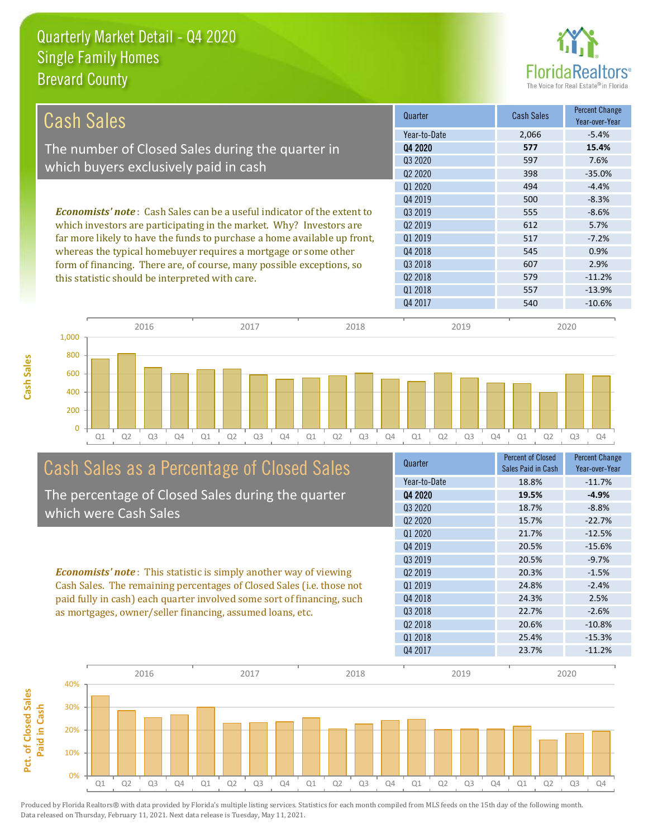

Q4 2020 **19.5% -4.9%** Q3 2020 18.7% -8.8% Q2 2020 15.7% -22.7% Q1 2020 21.7% -12.5%

Year-to-Date 18.8% -11.7%

Sales Paid in Cash

Percent Change Year-over-Year

-2.6%

Quarter Percent of Closed<br>
Percent of Closed<br>
Percent of Closed

Q3 2018 22.7%

Q4 2019 20.5% -15.6% Q3 2019 20.5% -9.7% Q2 2019 20.3% -1.5% Q1 2019 24.8% -2.4% Q4 2018 24.3% 2.5%

| Cash Sales                                                                     | Quarter             | Cash Sales | <b>Percent Change</b><br>Year-over-Year |
|--------------------------------------------------------------------------------|---------------------|------------|-----------------------------------------|
|                                                                                | Year-to-Date        | 2,066      | $-5.4%$                                 |
| The number of Closed Sales during the quarter in                               | 04 2020             | 577        | 15.4%                                   |
|                                                                                | Q3 2020             | 597        | 7.6%                                    |
| which buyers exclusively paid in cash                                          | Q <sub>2</sub> 2020 | 398        | $-35.0%$                                |
|                                                                                | 01 2020             | 494        | $-4.4%$                                 |
|                                                                                | Q4 2019             | 500        | $-8.3%$                                 |
| <b>Economists' note:</b> Cash Sales can be a useful indicator of the extent to | Q3 2019             | 555        | $-8.6%$                                 |
| which investors are participating in the market. Why? Investors are            | 02 2019             | 612        | 5.7%                                    |
| far more likely to have the funds to purchase a home available up front,       | 01 2019             | 517        | $-7.2%$                                 |
| whereas the typical homebuyer requires a mortgage or some other                | Q4 2018             | 545        | 0.9%                                    |
| form of financing. There are, of course, many possible exceptions, so          | Q3 2018             | 607        | 2.9%                                    |
| this statistic should be interpreted with care.                                | Q <sub>2</sub> 2018 | 579        | $-11.2%$                                |
|                                                                                | 01 2018             | 557        | $-13.9%$                                |
|                                                                                | Q4 2017             | 540        | $-10.6\%$                               |



# Cash Sales as a Percentage of Closed Sales

The percentage of Closed Sales during the quarter which were Cash Sales

*Economists' note* : This statistic is simply another way of viewing Cash Sales. The remaining percentages of Closed Sales (i.e. those not paid fully in cash) each quarter involved some sort of financing, such as mortgages, owner/seller financing, assumed loans, etc.

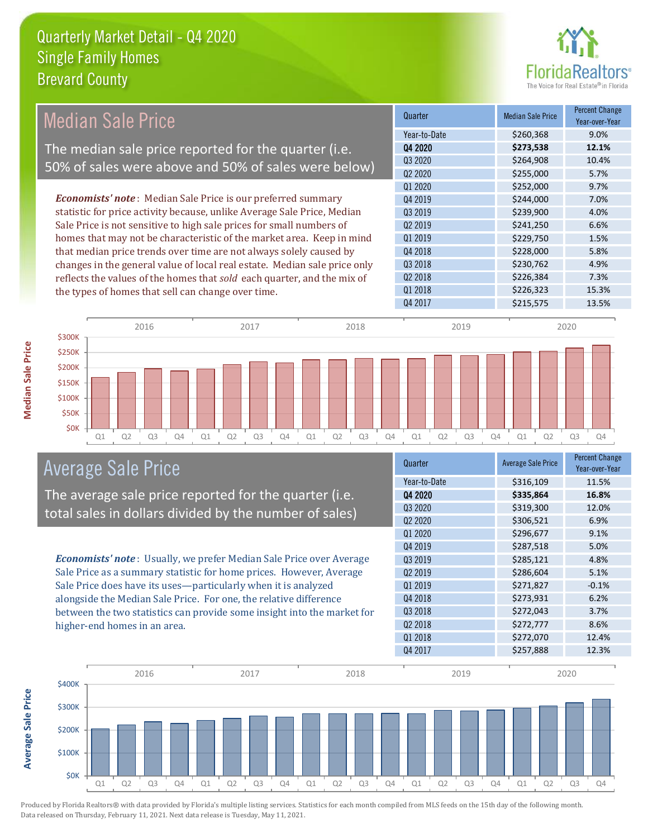

#### Quarter Median Sale Price Percent Change Year-over-Year Q4 2020 **\$273,538 12.1%** Year-to-Date \$260,368 9.0% Q1 2019 \$229,750 1.5% Q3 2020 \$264,908 10.4% Q2 2020 \$255,000 5.7% Q3 2019 \$239,900 4.0% Q2 2019 \$241,250 6.6% Q1 2020 **\$252,000** \$252,000 9.7% 04 2019 \$244,000 7.0% Q4 2018 **\$228,000** \$228,000 5.8% Q3 2018 \$230,762 4.9% Q2 2018 \$226,384 7.3% Q1 2018 **\$226,323** 15.3% Q4 2017 \$215,575 13.5% *Economists' note* : Median Sale Price is our preferred summary statistic for price activity because, unlike Average Sale Price, Median Sale Price is not sensitive to high sale prices for small numbers of homes that may not be characteristic of the market area. Keep in mind that median price trends over time are not always solely caused by changes in the general value of local real estate. Median sale price only reflects the values of the homes that *sold* each quarter, and the mix of the types of homes that sell can change over time. \$300K 2016 2017 2018 2019 2020 Median Sale Price The median sale price reported for the quarter (i.e. 50% of sales were above and 50% of sales were below)



#### Average Sale Price

The average sale price reported for the quarter (i.e. total sales in dollars divided by the number of sales)

*Economists' note* : Usually, we prefer Median Sale Price over Average Sale Price as a summary statistic for home prices. However, Average Sale Price does have its uses—particularly when it is analyzed alongside the Median Sale Price. For one, the relative difference between the two statistics can provide some insight into the market for higher-end homes in an area.

| Year-over-Year       |
|----------------------|
| \$316,109<br>11.5%   |
| \$335,864<br>16.8%   |
| \$319,300<br>12.0%   |
| \$306,521<br>6.9%    |
| \$296,677<br>9.1%    |
| \$287,518<br>5.0%    |
| \$285,121<br>4.8%    |
| \$286,604<br>5.1%    |
| \$271,827<br>$-0.1%$ |
| \$273,931<br>6.2%    |
| \$272,043<br>3.7%    |
| \$272,777<br>8.6%    |
| \$272,070<br>12.4%   |
| \$257,888<br>12.3%   |
|                      |

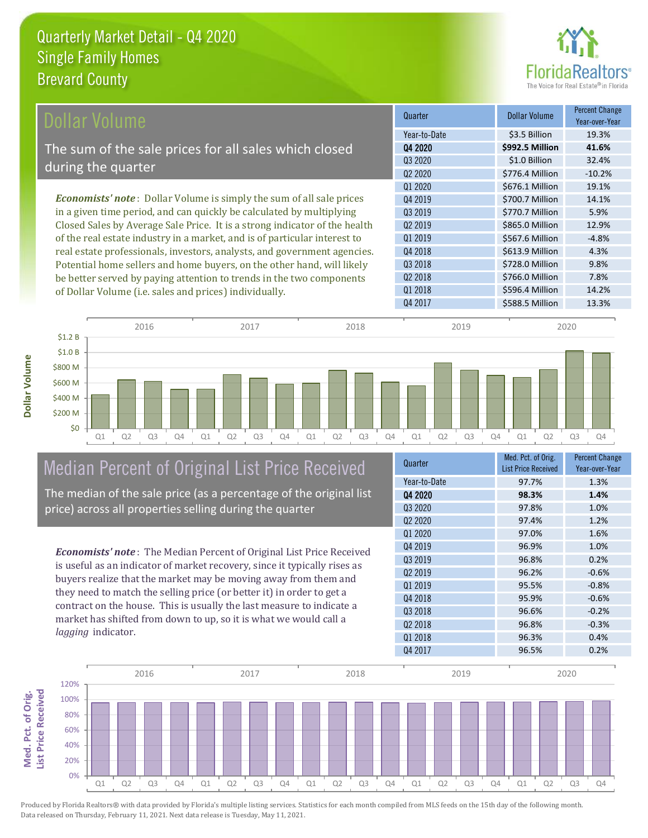

| Dollar Volume                                                               | Quarter             | <b>Dollar Volume</b> | <b>Percent Change</b><br>Year-over-Year |
|-----------------------------------------------------------------------------|---------------------|----------------------|-----------------------------------------|
|                                                                             | Year-to-Date        | \$3.5 Billion        | 19.3%                                   |
| The sum of the sale prices for all sales which closed                       | Q4 2020             | \$992.5 Million      | 41.6%                                   |
|                                                                             | Q3 2020             | \$1.0 Billion        | 32.4%                                   |
| during the quarter                                                          | Q <sub>2</sub> 2020 | \$776.4 Million      | $-10.2%$                                |
|                                                                             | Q1 2020             | \$676.1 Million      | 19.1%                                   |
| <b>Economists' note:</b> Dollar Volume is simply the sum of all sale prices | Q4 2019             | \$700.7 Million      | 14.1%                                   |
| in a given time period, and can quickly be calculated by multiplying        | Q3 2019             | \$770.7 Million      | 5.9%                                    |
| Closed Sales by Average Sale Price. It is a strong indicator of the health  | Q <sub>2</sub> 2019 | \$865.0 Million      | 12.9%                                   |
| of the real estate industry in a market, and is of particular interest to   | Q1 2019             | \$567.6 Million      | $-4.8%$                                 |
| real estate professionals, investors, analysts, and government agencies.    | Q4 2018             | \$613.9 Million      | 4.3%                                    |
| Potential home sellers and home buyers, on the other hand, will likely      | Q3 2018             | \$728.0 Million      | 9.8%                                    |
| be better served by paying attention to trends in the two components        | Q <sub>2</sub> 2018 | \$766.0 Million      | 7.8%                                    |
| of Dollar Volume (i.e. sales and prices) individually.                      | Q1 2018             | \$596.4 Million      | 14.2%                                   |



## Median Percent of Original List Price Received

The median of the sale price (as a percentage of the original list price) across all properties selling during the quarter

*Economists' note* : The Median Percent of Original List Price Received is useful as an indicator of market recovery, since it typically rises as buyers realize that the market may be moving away from them and they need to match the selling price (or better it) in order to get a contract on the house. This is usually the last measure to indicate a market has shifted from down to up, so it is what we would call a *lagging* indicator.

| Quarter                         | Med. Pct. of Orig.<br><b>List Price Received</b> | <b>Percent Change</b><br>Year-over-Year |
|---------------------------------|--------------------------------------------------|-----------------------------------------|
| Year-to-Date                    | 97.7%                                            | 1.3%                                    |
| 04 2020                         | 98.3%                                            | 1.4%                                    |
| 03 2020                         | 97.8%                                            | 1.0%                                    |
| Q <sub>2</sub> 20 <sub>20</sub> | 97.4%                                            | 1.2%                                    |
| Q1 2020                         | 97.0%                                            | 1.6%                                    |
| Q4 2019                         | 96.9%                                            | 1.0%                                    |
| 03 2019                         | 96.8%                                            | 0.2%                                    |
| Q <sub>2</sub> 2019             | 96.2%                                            | $-0.6%$                                 |
| Q1 2019                         | 95.5%                                            | $-0.8%$                                 |
| Q4 2018                         | 95.9%                                            | $-0.6%$                                 |
| 03 2018                         | 96.6%                                            | $-0.2%$                                 |
| Q <sub>2</sub> 2018             | 96.8%                                            | $-0.3%$                                 |
| Q1 2018                         | 96.3%                                            | 0.4%                                    |
| Q4 2017                         | 96.5%                                            | 0.2%                                    |

Q4 2017 **\$588.5 Million** 13.3%

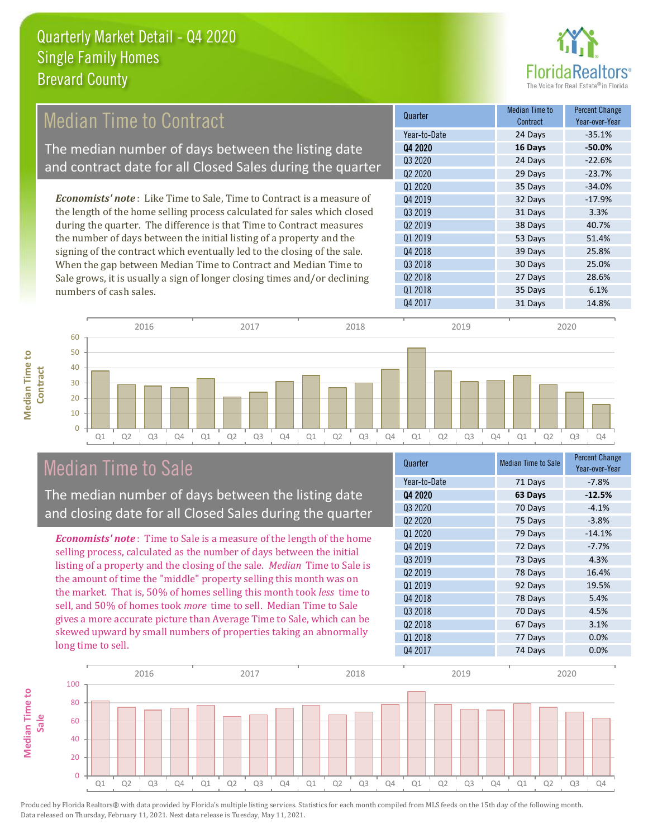

## Median Time to Contract

The median number of days between the listing date and contract date for all Closed Sales during the quarter

*Economists' note* : Like Time to Sale, Time to Contract is a measure of the length of the home selling process calculated for sales which closed during the quarter. The difference is that Time to Contract measures the number of days between the initial listing of a property and the signing of the contract which eventually led to the closing of the sale. When the gap between Median Time to Contract and Median Time to Sale grows, it is usually a sign of longer closing times and/or declining numbers of cash sales.

| Median Time to<br>Contract | <b>Percent Change</b><br>Year-over-Year |
|----------------------------|-----------------------------------------|
| 24 Days                    | $-35.1%$                                |
| 16 Days                    | $-50.0%$                                |
| 24 Days                    | $-22.6%$                                |
| 29 Days                    | $-23.7%$                                |
| 35 Days                    | $-34.0%$                                |
| 32 Days                    | $-17.9%$                                |
| 31 Days                    | 3.3%                                    |
| 38 Days                    | 40.7%                                   |
| 53 Days                    | 51.4%                                   |
| 39 Days                    | 25.8%                                   |
| 30 Days                    | 25.0%                                   |
| 27 Days                    | 28.6%                                   |
| 35 Days                    | 6.1%                                    |
| 31 Days                    | 14.8%                                   |
|                            |                                         |



#### Median Time to Sale

**Median Time to Contract**

**Median Time to** 

The median number of days between the listing date and closing date for all Closed Sales during the quarter

*Economists' note* : Time to Sale is a measure of the length of the home selling process, calculated as the number of days between the initial listing of a property and the closing of the sale. *Median* Time to Sale is the amount of time the "middle" property selling this month was on the market. That is, 50% of homes selling this month took *less* time to sell, and 50% of homes took *more* time to sell. Median Time to Sale gives a more accurate picture than Average Time to Sale, which can be skewed upward by small numbers of properties taking an abnormally long time to sell.

| Quarter             | <b>Median Time to Sale</b> | <b>Percent Change</b><br>Year-over-Year |
|---------------------|----------------------------|-----------------------------------------|
| Year-to-Date        | 71 Days                    | $-7.8%$                                 |
| Q4 2020             | 63 Days                    | $-12.5%$                                |
| Q3 2020             | 70 Days                    | $-4.1%$                                 |
| Q <sub>2</sub> 2020 | 75 Days                    | $-3.8%$                                 |
| Q1 2020             | 79 Days                    | $-14.1%$                                |
| Q4 2019             | 72 Days                    | $-7.7%$                                 |
| Q3 2019             | 73 Days                    | 4.3%                                    |
| Q <sub>2</sub> 2019 | 78 Days                    | 16.4%                                   |
| 01 2019             | 92 Days                    | 19.5%                                   |
| Q4 2018             | 78 Days                    | 5.4%                                    |
| Q3 2018             | 70 Days                    | 4.5%                                    |
| Q2 2018             | 67 Days                    | 3.1%                                    |
| Q1 2018             | 77 Days                    | 0.0%                                    |
| Q4 2017             | 74 Days                    | 0.0%                                    |

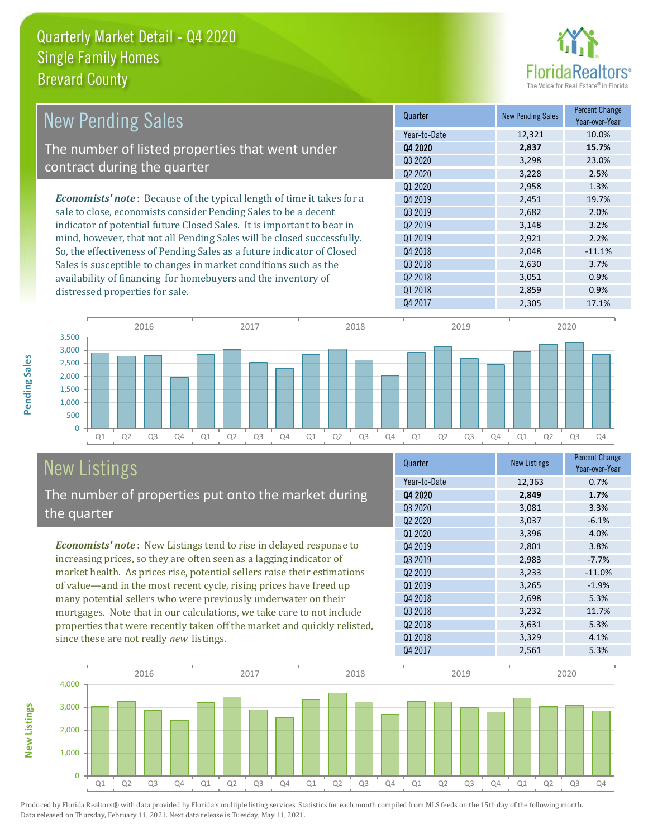

| <b>New Pending Sales</b>                                                       | Quarter                         | <b>New Pending Sales</b> | <b>Percent Change</b><br>Year-over-Year |
|--------------------------------------------------------------------------------|---------------------------------|--------------------------|-----------------------------------------|
|                                                                                | Year-to-Date                    | 12,321                   | 10.0%                                   |
| The number of listed properties that went under                                | Q4 2020                         | 2,837                    | 15.7%                                   |
|                                                                                | Q3 2020                         | 3,298                    | 23.0%                                   |
| contract during the quarter                                                    | Q <sub>2</sub> 20 <sub>20</sub> | 3,228                    | 2.5%                                    |
|                                                                                | 01 2020                         | 2,958                    | 1.3%                                    |
| <b>Economists' note</b> : Because of the typical length of time it takes for a | Q4 2019                         | 2,451                    | 19.7%                                   |
| sale to close, economists consider Pending Sales to be a decent                | Q3 2019                         | 2,682                    | 2.0%                                    |
| indicator of potential future Closed Sales. It is important to bear in         | Q <sub>2</sub> 2019             | 3,148                    | 3.2%                                    |
| mind, however, that not all Pending Sales will be closed successfully.         | Q1 2019                         | 2,921                    | 2.2%                                    |
| So, the effectiveness of Pending Sales as a future indicator of Closed         | Q4 2018                         | 2,048                    | $-11.1%$                                |
| Sales is susceptible to changes in market conditions such as the               | Q3 2018                         | 2,630                    | 3.7%                                    |
| availability of financing for homebuyers and the inventory of                  | Q <sub>2</sub> 2018             | 3,051                    | 0.9%                                    |
| distressed properties for sale                                                 | Q1 2018                         | 2,859                    | 0.9%                                    |



# New Listings

distressed properties for sale.

The number of properties put onto the market during the quarter

*Economists' note* : New Listings tend to rise in delayed response to increasing prices, so they are often seen as a lagging indicator of market health. As prices rise, potential sellers raise their estimations of value—and in the most recent cycle, rising prices have freed up many potential sellers who were previously underwater on their mortgages. Note that in our calculations, we take care to not include properties that were recently taken off the market and quickly relisted, since these are not really *new* listings.

| Quarter             | <b>New Listings</b> | <b>Percent Change</b><br>Year-over-Year |
|---------------------|---------------------|-----------------------------------------|
| Year-to-Date        | 12,363              | 0.7%                                    |
| 04 2020             | 2,849               | 1.7%                                    |
| Q3 2020             | 3,081               | 3.3%                                    |
| Q <sub>2</sub> 2020 | 3,037               | $-6.1%$                                 |
| Q1 2020             | 3,396               | 4.0%                                    |
| Q4 2019             | 2,801               | 3.8%                                    |
| Q3 2019             | 2,983               | $-7.7%$                                 |
| Q <sub>2</sub> 2019 | 3,233               | $-11.0%$                                |
| Q1 2019             | 3,265               | $-1.9%$                                 |
| Q4 2018             | 2,698               | 5.3%                                    |
| Q3 2018             | 3,232               | 11.7%                                   |
| Q <sub>2</sub> 2018 | 3,631               | 5.3%                                    |
| Q1 2018             | 3,329               | 4.1%                                    |
| Q4 2017             | 2,561               | 5.3%                                    |



Produced by Florida Realtors® with data provided by Florida's multiple listing services. Statistics for each month compiled from MLS feeds on the 15th day of the following month. Data released on Thursday, February 11, 2021. Next data release is Tuesday, May 11, 2021.

**New Listings**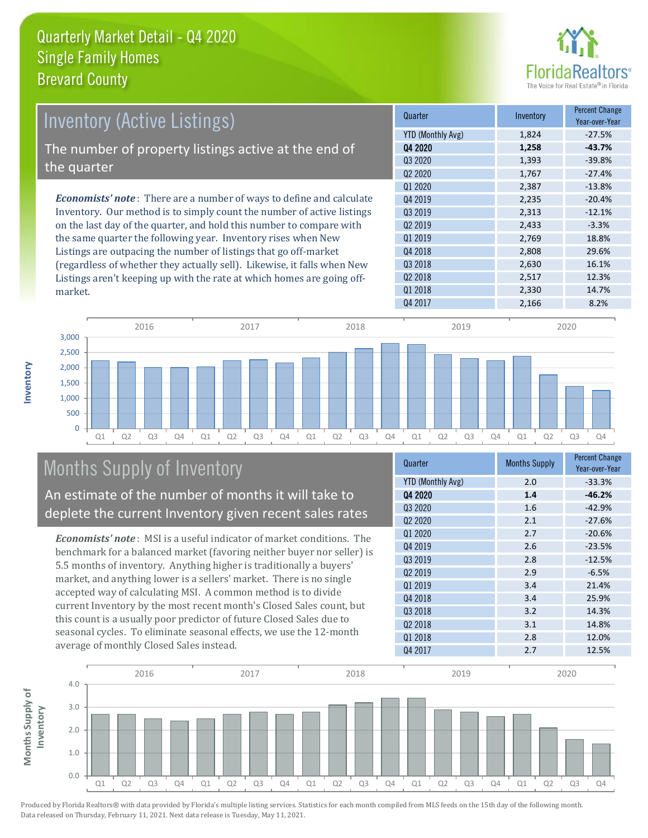

| <b>Inventory (Active Listings)</b>                                           | Quarter             | Inventory | <b>Percent Change</b><br>Year-over-Year |
|------------------------------------------------------------------------------|---------------------|-----------|-----------------------------------------|
|                                                                              | YTD (Monthly Avg)   | 1,824     | $-27.5%$                                |
| The number of property listings active at the end of                         | Q4 2020             | 1,258     | $-43.7%$                                |
|                                                                              | Q3 2020             | 1,393     | $-39.8%$                                |
| the quarter                                                                  | Q <sub>2</sub> 2020 | 1,767     | $-27.4%$                                |
|                                                                              | Q1 2020             | 2.387     | $-13.8%$                                |
| <b>Economists' note</b> : There are a number of ways to define and calculate | 04 2019             | 2.235     | $-20.4%$                                |
| Inventory. Our method is to simply count the number of active listings       | 03 2019             | 2,313     | $-12.1%$                                |
| on the last day of the quarter, and hold this number to compare with         | Q <sub>2</sub> 2019 | 2,433     | $-3.3%$                                 |
| the same quarter the following year. Inventory rises when New                | Q1 2019             | 2,769     | 18.8%                                   |
| Listings are outpacing the number of listings that go off-market             | Q4 2018             | 2,808     | 29.6%                                   |
| (regardless of whether they actually sell). Likewise, it falls when New      | Q3 2018             | 2,630     | 16.1%                                   |
| Listings aren't keeping up with the rate at which homes are going off-       | 02 2018             | 2,517     | 12.3%                                   |



### Months Supply of Inventory

market.

**Inventory**

An estimate of the number of months it will take to deplete the current Inventory given recent sales rates

*Economists' note* : MSI is a useful indicator of market conditions. The benchmark for a balanced market (favoring neither buyer nor seller) is 5.5 months of inventory. Anything higher is traditionally a buyers' market, and anything lower is a sellers' market. There is no single accepted way of calculating MSI. A common method is to divide current Inventory by the most recent month's Closed Sales count, but this count is a usually poor predictor of future Closed Sales due to seasonal cycles. To eliminate seasonal effects, we use the 12-month average of monthly Closed Sales instead.

| Quarter                         | <b>Months Supply</b> | <b>Percent Change</b><br>Year-over-Year |
|---------------------------------|----------------------|-----------------------------------------|
| <b>YTD (Monthly Avg)</b>        | 2.0                  | $-33.3%$                                |
| 04 2020                         | 1.4                  | $-46.2%$                                |
| Q3 2020                         | 1.6                  | $-42.9%$                                |
| Q <sub>2</sub> 20 <sub>20</sub> | 2.1                  | $-27.6%$                                |
| Q1 2020                         | 2.7                  | $-20.6%$                                |
| Q4 2019                         | 2.6                  | $-23.5%$                                |
| Q3 2019                         | 2.8                  | $-12.5%$                                |
| Q <sub>2</sub> 2019             | 2.9                  | $-6.5%$                                 |
| Q1 2019                         | 3.4                  | 21.4%                                   |
| Q4 2018                         | 3.4                  | 25.9%                                   |
| 03 2018                         | 3.2                  | 14.3%                                   |
| Q <sub>2</sub> 2018             | 3.1                  | 14.8%                                   |
| Q1 2018                         | 2.8                  | 12.0%                                   |
| Q4 2017                         | 2.7                  | 12.5%                                   |

Q1 2018 2,330 14.7%

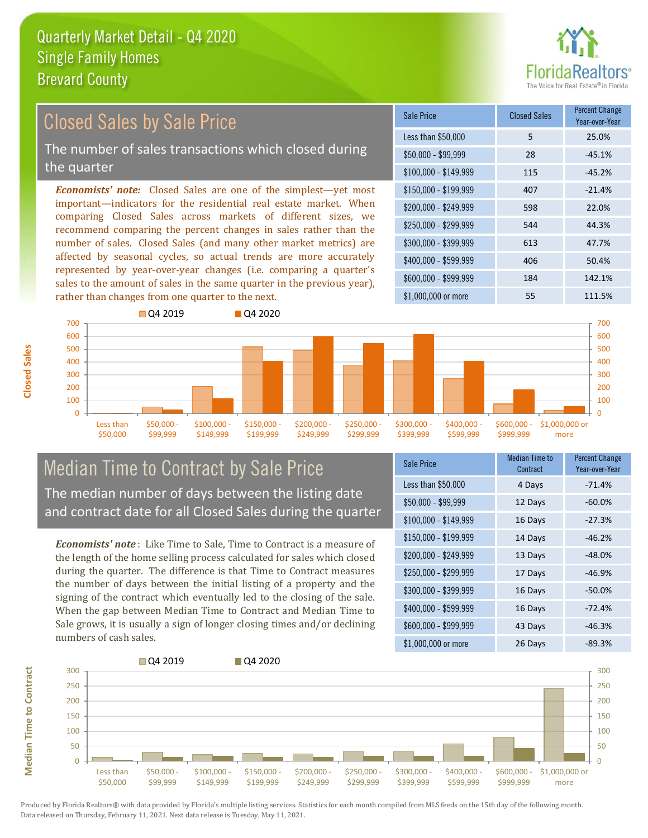

#### *Economists' note:* Closed Sales are one of the simplest—yet most important—indicators for the residential real estate market. When comparing Closed Sales across markets of different sizes, we recommend comparing the percent changes in sales rather than the number of sales. Closed Sales (and many other market metrics) are affected by seasonal cycles, so actual trends are more accurately represented by year-over-year changes (i.e. comparing a quarter's sales to the amount of sales in the same quarter in the previous year), rather than changes from one quarter to the next. \$1,000,000 or more 55 111.5% \$250,000 - \$299,999 544 44.3% \$300,000 - \$399,999 613 47.7% \$400,000 - \$599,999 406 50.4% \$600,000 - \$999,999 184 142.1% \$150,000 - \$199,999 407 -21.4% \$200,000 - \$249,999 598 22.0% \$100,000 - \$149,999 115 -45.2% Sale Price Closed Sales Percent Change Year-over-Year Less than \$50,000 5 25.0%  $$50.000 - $99.999$  28  $-45.1\%$ 600 700 **O** 04 2019 **Q4 2020** 600 700 Closed Sales by Sale Price The number of sales transactions which closed during the quarter



#### Median Time to Contract by Sale Price The median number of days between the listing date and contract date for all Closed Sales during the quarter

*Economists' note* : Like Time to Sale, Time to Contract is a measure of the length of the home selling process calculated for sales which closed during the quarter. The difference is that Time to Contract measures the number of days between the initial listing of a property and the signing of the contract which eventually led to the closing of the sale. When the gap between Median Time to Contract and Median Time to Sale grows, it is usually a sign of longer closing times and/or declining numbers of cash sales.

| <b>Sale Price</b>     | <b>Median Time to</b><br>Contract | <b>Percent Change</b><br>Year-over-Year |
|-----------------------|-----------------------------------|-----------------------------------------|
| Less than \$50,000    | 4 Days                            | $-71.4%$                                |
| $$50,000 - $99,999$   | 12 Days                           | $-60.0%$                                |
| $$100,000 - $149,999$ | 16 Days                           | $-27.3%$                                |
| $$150,000 - $199,999$ | 14 Days                           | $-46.2%$                                |
| \$200,000 - \$249,999 | 13 Days                           | $-48.0%$                                |
| \$250,000 - \$299,999 | 17 Days                           | $-46.9%$                                |
| \$300,000 - \$399,999 | 16 Days                           | $-50.0%$                                |
| \$400,000 - \$599,999 | 16 Days                           | $-72.4%$                                |
| \$600,000 - \$999,999 | 43 Days                           | $-46.3%$                                |
| \$1,000,000 or more   | 26 Days                           | $-89.3%$                                |



**Closed Sales**

**Median Time to Contract**

**Median Time to Contract**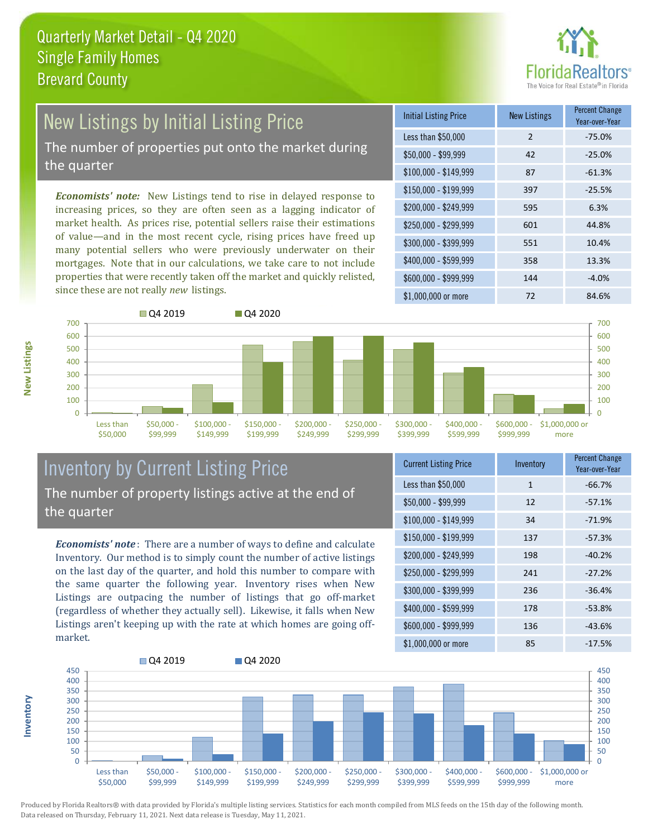

# New Listings by Initial Listing Price

The number of properties put onto the market during the quarter

*Economists' note:* New Listings tend to rise in delayed response to increasing prices, so they are often seen as a lagging indicator of market health. As prices rise, potential sellers raise their estimations of value—and in the most recent cycle, rising prices have freed up many potential sellers who were previously underwater on their mortgages. Note that in our calculations, we take care to not include properties that were recently taken off the market and quickly relisted, since these are not really *new* listings.





#### Inventory by Current Listing Price The number of property listings active at the end of the quarter

*Economists' note* : There are a number of ways to define and calculate Inventory. Our method is to simply count the number of active listings on the last day of the quarter, and hold this number to compare with the same quarter the following year. Inventory rises when New Listings are outpacing the number of listings that go off-market (regardless of whether they actually sell). Likewise, it falls when New Listings aren't keeping up with the rate at which homes are going offmarket.

| <b>Current Listing Price</b> | Inventory    | <b>Percent Change</b><br>Year-over-Year |
|------------------------------|--------------|-----------------------------------------|
| Less than \$50,000           | $\mathbf{1}$ | $-66.7%$                                |
| $$50,000 - $99,999$          | 12           | $-57.1%$                                |
| $$100,000 - $149,999$        | 34           | $-71.9%$                                |
| $$150,000 - $199,999$        | 137          | $-57.3%$                                |
| \$200,000 - \$249,999        | 198          | $-40.2%$                                |
| \$250,000 - \$299,999        | 241          | $-27.2%$                                |
| \$300,000 - \$399,999        | 236          | $-36.4%$                                |
| \$400,000 - \$599,999        | 178          | $-53.8%$                                |
| \$600,000 - \$999,999        | 136          | $-43.6%$                                |
| \$1,000,000 or more          | 85           | $-17.5%$                                |



Produced by Florida Realtors® with data provided by Florida's multiple listing services. Statistics for each month compiled from MLS feeds on the 15th day of the following month. Data released on Thursday, February 11, 2021. Next data release is Tuesday, May 11, 2021.

**Inventory**